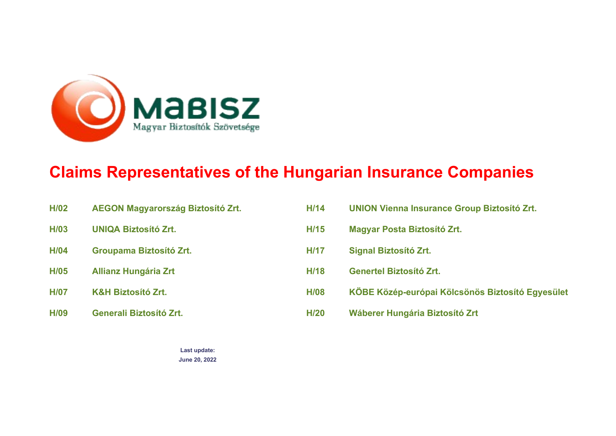<span id="page-0-0"></span>

# **Claims Representatives of the Hungarian Insurance Companies**

| H/02        | <b>AEGON Magyarország Biztosító Zrt.</b> | H/14        | <b>UNION Vienna Insurance Group Biztosító Zrt.</b> |
|-------------|------------------------------------------|-------------|----------------------------------------------------|
| H/03        | <b>UNIQA Biztosító Zrt.</b>              | H/15        | <b>Magyar Posta Biztosító Zrt.</b>                 |
| H/04        | Groupama Biztosító Zrt.                  | <b>H/17</b> | <b>Signal Biztosító Zrt.</b>                       |
| H/05        | <b>Allianz Hungária Zrt</b>              | <b>H/18</b> | <b>Genertel Biztosító Zrt.</b>                     |
| <b>H/07</b> | <b>K&amp;H Biztosító Zrt.</b>            | <b>H/08</b> | KÖBE Közép-európai Kölcsönös Biztosító Egyesület   |
| H/09        | <b>Generali Biztosító Zrt.</b>           | <b>H/20</b> | Wáberer Hungária Biztosító Zrt                     |

**Last update: June 20, 2022**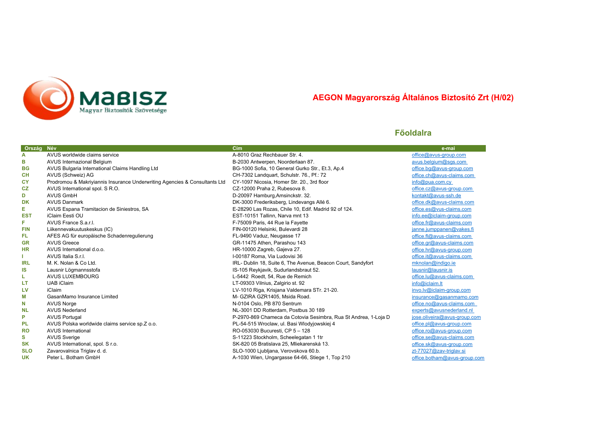<span id="page-1-0"></span>

# **AEGON Magyarország Általános Biztosító Zrt (H/02)**

| Ország     | Név                                                                        | Cím                                                             | e-mai                        |
|------------|----------------------------------------------------------------------------|-----------------------------------------------------------------|------------------------------|
| Α          | AVUS worldwide claims service                                              | A-8010 Graz Rechbauer Str. 4.                                   | office@avus-group.com        |
| в          | AVUS Internazional Belgium                                                 | B-2030 Antwerpen, Noorderlaan 87.                               | avus.belgium@sgs.com         |
| <b>BG</b>  | AVUS Bulgaria International Claims Handling Ltd                            | BG-1000 Sofia, 10 General Gurko Str., Et.3, Ap.4                | office.bq@avus-group.com     |
| <b>CH</b>  | AVUS (Schweiz) AG                                                          | CH-7302 Landquart, Schulstr. 76., Pf.: 72                       | office.ch@avus-claims.com    |
| <b>CY</b>  | Prodromou & Makriyiannis Insurance Underwriting Agencies & Consultants Ltd | CY-1097 Nicosia, Homer Str. 20., 3rd floor                      | info@pua.com.cy              |
| CZ         | AVUS International spol. S R.O.                                            | CZ-12000 Praha 2, Rubesova 8.                                   | office.cz@avus-group.com     |
| D          | <b>AVUS GmbH</b>                                                           | D-20097 Hamburg, Amsinckstr. 32.                                | kontakt@avus-ssh.de          |
| DK         | <b>AVUS Danmark</b>                                                        | DK-3000 Frederiksberg, Lindevangs Allé 6.                       | office.dk@avus-claims.com    |
| Е          | AVUS Espana Tramitacion de Siniestros, SA                                  | E-28290 Las Rozas, Chile 10, Edif. Madrid 92 of 124.            | office.es@vus-claims.com     |
| <b>EST</b> | iClaim Eesti OU                                                            | EST-10151 Tallinn, Narva mnt 13                                 | info.ee@iclaim-group.com     |
| F          | AVUS France S.a.r.l.                                                       | F-75009 Paris, 44 Rue la Fayette                                | office.fr@avus-claims.com    |
| <b>FIN</b> | Liikennevakuutuskeskus (IC)                                                | FIN-00120 Helsinki, Bulevardi 28                                | janne.jumppanen@vakes.fi     |
| FL.        | AFES AG für europäische Schadenregulierung                                 | FL-9490 Vaduz, Neugasse 17                                      | office.fl@avus-claims.com    |
| <b>GR</b>  | <b>AVUS Greece</b>                                                         | GR-11475 Athen, Parashou 143                                    | office.gr@avus-claims.com    |
| HR         | AVUS International d.o.o.                                                  | HR-10000 Zagreb, Gajeva 27.                                     | office.hr@avus-group.com     |
|            | AVUS Italia S.r.I.                                                         | I-00187 Roma, Via Ludovisi 36                                   | office.it@avus-claims.com    |
| IRL        | M. K. Nolan & Co Ltd.                                                      | IRL- Dublin 18, Suite 6, The Avenue, Beacon Court, Sandyfort    | mknolan@indigo.ie            |
| <b>IS</b>  | Lausnir Lögmannsstofa                                                      | IS-105 Reykjavik, Sudurlandsbraut 52.                           | lausnir@lausnir.is           |
| ш          | AVUS LUXEMBOURG                                                            | L-5442 Roedt, 54, Rue de Remich                                 | office.lu@avus-claims.com    |
| LT.        | <b>UAB</b> iClaim                                                          | LT-09303 Vilnius, Zalgirio st. 92                               | info@iclaim.lt               |
| LV         | iClaim                                                                     | LV-1010 Riga, Krisjana Valdemara STr. 21-20.                    | invo.lv@iclaim-group.com     |
| М          | GasanMamo Insurance Limited                                                | M- GZIRA GZR1405, Msida Road.                                   | insurance@gasanmamo.com      |
| N          | <b>AVUS Norge</b>                                                          | N-0104 Oslo, PB 870 Sentrum                                     | office.no@avus-claims.com    |
| <b>NL</b>  | <b>AVUS Nederland</b>                                                      | NL-3001 DD Rotterdam, Postbus 30 189                            | experts@avusnederland.nl     |
| P          | <b>AVUS Portugal</b>                                                       | P-2970-869 Chameca da Cotovia Sesimbra, Rua St Andrea, 1-Loja D | jose.oliveira@avus-group.com |
| <b>PL</b>  | AVUS Polska worldwide claims service sp.Z o.o.                             | PL-54-515 Wroclaw, ul. Basi Włodyjowskiej 4                     | office.pl@avus-group.com     |
| <b>RO</b>  | <b>AVUS International</b>                                                  | RO-053030 Bucuresti, CP 5 - 128                                 | office.ro@avus-group.com     |
| s          | <b>AVUS Sverige</b>                                                        | S-11223 Stockholm, Scheelegatan 1 1tr                           | office.se@avus-claims.com    |
| <b>SK</b>  | AVUS International, spol. S r.o.                                           | SK-820 05 Bratislava 25. Mliekarenská 13.                       | office.sk@avus-group.com     |
| <b>SLO</b> | Zavarovalnica Triglav d. d.                                                | SLO-1000 Ljubljana, Verovskova 60.b.                            | zt-77027@zav-triglav.si      |
| <b>UK</b>  | Peter L. Botham GmbH                                                       | A-1030 Wien, Ungargasse 64-66, Stiege 1, Top 210                | office.botham@avus-group.com |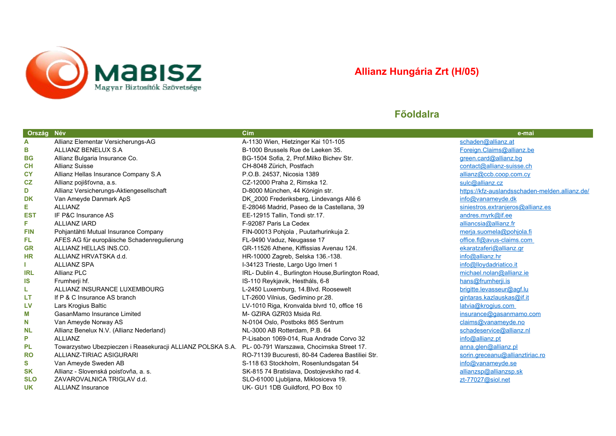<span id="page-2-0"></span>

# **Allianz Hungária Zrt (H/05)**

| Ország Név |                                                            | Cím                                                | e-mai                                          |
|------------|------------------------------------------------------------|----------------------------------------------------|------------------------------------------------|
| A          | Allianz Elementar Versicherungs-AG                         | A-1130 Wien, Hietzinger Kai 101-105                | schaden@allianz.at                             |
| в          | ALLIANZ BENELUX S.A                                        | B-1000 Brussels Rue de Laeken 35.                  | Foreign.Claims@allianz.be                      |
| <b>BG</b>  | Allianz Bulgaria Insurance Co.                             | BG-1504 Sofia, 2, Prof. Milko Bichev Str.          | green.card@allianz.bg                          |
| <b>CH</b>  | <b>Allianz Suisse</b>                                      | CH-8048 Zürich, Postfach                           | contact@allianz-suisse.ch                      |
| <b>CY</b>  | Allianz Hellas Insurance Company S.A                       | P.O.B. 24537, Nicosia 1389                         | allianz@ccb.coop.com.cy                        |
| CZ         | Allianz pojišťovna, a.s.                                   | CZ-12000 Praha 2, Rimska 12.                       | sulc@allianz.cz                                |
| D          | Allianz Versicherungs-Aktiengesellschaft                   | D-8000 München, 44 Königin str.                    | https://kfz-auslandsschaden-melden.allianz.de/ |
| <b>DK</b>  | Van Ameyde Danmark ApS                                     | DK_2000 Frederiksberg, Lindevangs Allé 6           | info@vanameyde.dk                              |
| Е          | <b>ALLIANZ</b>                                             | E-28046 Madrid, Paseo de la Castellana, 39         | siniestros.extranjeros@allianz.es              |
| <b>EST</b> | IF P&C Insurance AS                                        | EE-12915 Tallin, Tondi str.17.                     | andres.myrk@if.ee                              |
| F.         | <b>ALLIANZ IARD</b>                                        | F-92087 Paris La Cedex                             | alliancsia@allianz.fr                          |
| <b>FIN</b> | Pohjantähti Mutual Insurance Company                       | FIN-00013 Pohjola, Puutarhurinkuja 2.              | merja.suomela@pohjola.fi                       |
| FL.        | AFES AG für europäische Schadenregulierung                 | FL-9490 Vaduz, Neugasse 17                         | office.fl@avus-claims.com                      |
| <b>GR</b>  | ALLIANZ HELLAS INS.CO.                                     | GR-11526 Athene, Kiffissias Avenau 124.            | ekaratzaferi@allianz.gr                        |
| <b>HR</b>  | ALLIANZ HRVATSKA d.d.                                      | HR-10000 Zagreb, Selska 136.-138.                  | info@allianz.hr                                |
|            | <b>ALLIANZ SPA</b>                                         | I-34123 Trieste, Largo Ugo Irneri 1                | info@lloydadriatico.it                         |
| IRL        | <b>Allianz PLC</b>                                         | IRL- Dublin 4., Burlington House, Burlington Road, | michael.nolan@allianz.ie                       |
| IS         | Frumherji hf.                                              | IS-110 Reykjavik, Hestháls, 6-8                    | hans@frumherji.is                              |
| L          | ALLIANZ INSURANCE LUXEMBOURG                               | L-2450 Luxemburg, 14. Blvd. Roosewelt              | brigitte.levasseur@agf.lu                      |
| LT         | If P & C Insurance AS branch                               | LT-2600 Vilnius, Gedimino pr.28.                   | gintaras.kazlauskas@if.it                      |
| LV         | Lars Krogius Baltic                                        | LV-1010 Riga, Kronvalda blvrd 10, office 16        | latvia@krogius.com                             |
| М          | GasanMamo Insurance Limited                                | M- GZIRA GZR03 Msida Rd.                           | insurance@gasanmamo.com                        |
| N          | Van Ameyde Norway AS                                       | N-0104 Oslo, Postboks 865 Sentrum                  | claims@vanameyde.no                            |
| <b>NL</b>  | Allianz Benelux N.V. (Allianz Nederland)                   | NL-3000 AB Rotterdam, P.B. 64                      | schadeservice@allianz.nl                       |
| P          | <b>ALLIANZ</b>                                             | P-Lisabon 1069-014, Rua Andrade Corvo 32           | info@allianz.pt                                |
| PL         | Towarzystwo Ubezpieczen i Reasekuracji ALLIANZ POLSKA S.A. | PL-00-791 Warszawa, Chocimska Street 17.           | anna.glen@allianz.pl                           |
| <b>RO</b>  | ALLIANZ-TIRIAC ASIGURARI                                   | RO-71139 Bucuresti, 80-84 Caderea Bastiliei Str.   | sorin.greceanu@allianztiriac.ro                |
| S          | Van Ameyde Sweden AB                                       | S-118 63 Stockholm, Rosenlundsgatan 54             | info@vanameyde.se                              |
| <b>SK</b>  | Allianz - Slovenská poisťovňa, a. s.                       | SK-815 74 Bratislava, Dostojevskiho rad 4.         | allianzsp@allianzsp.sk                         |
| <b>SLO</b> | ZAVAROVALNICA TRIGLAV d.d.                                 | SLO-61000 Ljubljana, Miklosiceva 19.               | zt-77027@siol.net                              |
| <b>UK</b>  | <b>ALLIANZ Insurance</b>                                   | UK- GU1 1DB Guildford, PO Box 10                   |                                                |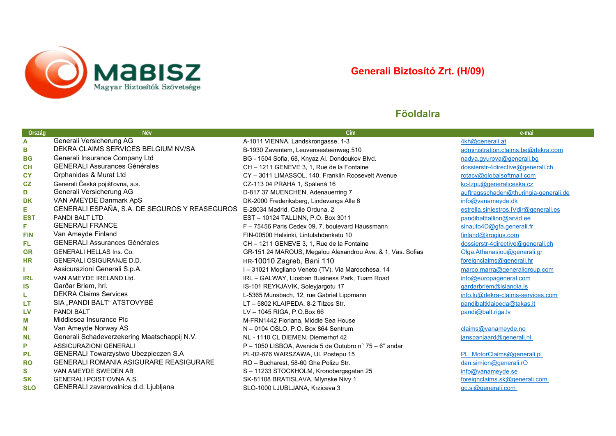<span id="page-3-0"></span>

# **Generali Biztosító Zrt. (H/09)**

| Ország     | <b>Név</b>                                    | C(m)                                                       | e-mai                                 |
|------------|-----------------------------------------------|------------------------------------------------------------|---------------------------------------|
| A          | Generali Versicherung AG                      | A-1011 VIENNA, Landskrongasse, 1-3                         | 4kh@generali.at                       |
| в          | DEKRA CLAIMS SERVICES BELGIUM NV/SA           | B-1930 Zaventem, Leuvensesteenweg 510                      | administration.claims.be@dekra.com    |
| <b>BG</b>  | Generali Insurance Company Ltd                | BG - 1504 Sofia, 68, Knyaz Al. Dondoukov Blvd.             | nadya.gyurova@generali.bg             |
| <b>CH</b>  | <b>GENERALI Assurances Générales</b>          | CH - 1211 GENEVE 3, 1, Rue de la Fontaine                  | dossierstr-4directive@generali.ch     |
| <b>CY</b>  | Orphanides & Murat Ltd                        | CY - 3011 LIMASSOL, 140, Franklin Roosevelt Avenue         | rotacy@globalsoftmail.com             |
| CZ         | Generali Česká pojišťovna, a.s.               | CZ-113 04 PRAHA 1, Spálená 16                              | kc-Izpu@generaliceska.cz              |
| D          | Generali Versicherung AG                      | D-817 37 MUENCHEN, Adenauerring 7                          | auftragsschaden@thuringia-generali.de |
| <b>DK</b>  | VAN AMEYDE Danmark ApS                        | DK-2000 Frederiksberg, Lindevangs Alle 6                   | info@vanameyde.dk                     |
| E          | GENERALI ESPAÑA, S.A. DE SEGUROS Y REASEGUROS | E-28034 Madrid, Calle Orduna, 2                            | estrella.siniestros.lVdir@generali.es |
| <b>EST</b> | PANDI BALT LTD                                | EST - 10124 TALLINN, P.O. Box 3011                         | pandibalttallinn@arvid.ee             |
| F          | <b>GENERALI FRANCE</b>                        | F - 75456 Paris Cedex 09, 7, boulevard Haussmann           | sinauto4D@gfa.generali.fr             |
| <b>FIN</b> | Van Ameyde Finland                            | FIN-00500 Helsinki, Lintulahdenkatu 10                     | finland@krogius.com                   |
| FL.        | <b>GENERALI Assurances Générales</b>          | CH - 1211 GENEVE 3, 1, Rue de la Fontaine                  | dossierstr-4directive@generali.ch     |
| <b>GR</b>  | <b>GENERALI HELLAS Ins. Co.</b>               | GR-151 24 MAROUS, Megalou Alexandrou Ave. & 1, Vas. Sofias | Olga.Athanasiou@generali.gr           |
| <b>HR</b>  | <b>GENERALI OSIGURANJE D.D.</b>               | HR-10010 Zagreb, Bani 110                                  | foreignclaims@generali.hr             |
|            | Assicurazioni Generali S.p.A.                 | I - 31021 Mogliano Veneto (TV), Via Marocchesa, 14         | marco.marra@generaligroup.com         |
| <b>IRL</b> | VAN AMEYDE IRELAND Ltd.                       | IRL - GALWAY, Liosban Business Park, Tuam Road             | info@europageneral.com                |
| IS         | Garðar Briem, hrl.                            | IS-101 REYKJAVIK, Soleyjargotu 17                          | gardarbriem@islandia.is               |
| L          | <b>DEKRA Claims Services</b>                  | L-5365 Munsbach, 12, rue Gabriel Lippmann                  | info.lu@dekra-claims-services.com     |
| LT         | SIA "PANDI BALT" ATSTOVYBĖ                    | LT - 5802 KLAIPEDA, 8-2 Tilzes Str.                        | pandibaltklaipeda@takas.lt            |
| LV         | <b>PANDI BALT</b>                             | LV-1045 RIGA, P.O.Box 66                                   | pandi@balt.riga.lv                    |
| М          | Middlesea Insurance Plc                       | M-FRN1442 Floriana, Middle Sea House                       |                                       |
| N          | Van Ameyde Norway AS                          | N - 0104 OSLO, P.O. Box 864 Sentrum                        | claims@vanameyde.no                   |
| <b>NL</b>  | Generali Schadeverzekering Maatschappij N.V.  | NL - 1110 CL DIEMEN, Diemerhof 42                          | janspanjaard@generali.nl              |
| P          | <b>ASSICURAZIONI GENERALI</b>                 | P - 1050 LISBOA, Avenida 5 de Outubro nº 75 - 6º andar     |                                       |
| <b>PL</b>  | GENERALI Towarzystwo Ubezpieczen S.A          | PL-02-676 WARSZAWA, UI. Postepu 15                         | PL MotorClaims@generali.pl            |
| <b>RO</b>  | GENERALI ROMANIA ASIGURARE REASIGURARE        | RO - Bucharest, 58-60 Ghe. Polizu Str.                     | dan.simion@generali.rO                |
| S          | VAN AMEYDE SWEDEN AB                          | S-11233 STOCKHOLM, Kronobergsgatan 25                      | info@vanameyde.se                     |
| <b>SK</b>  | <b>GENERALI POIST'OVNA A.S.</b>               | SK-81108 BRATISLAVA, Mlynske Nivy 1                        | foreignclaims.sk@generali.com         |
| <b>SLO</b> | GENERALI zavarovalnica d.d. Ljubljana         | SLO-1000 LJUBLJANA, Krziceva 3                             | gc.si@generali.com                    |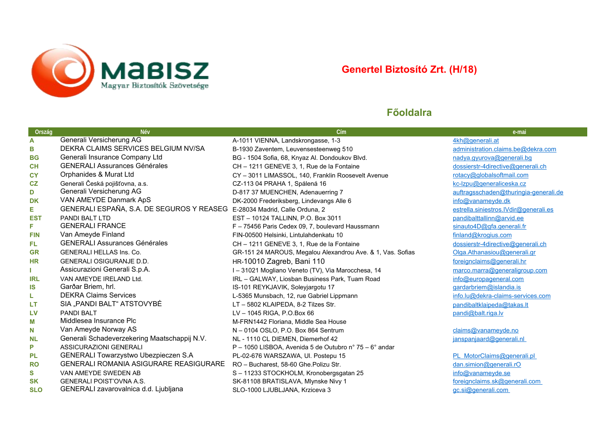<span id="page-4-0"></span>

# **Genertel Biztosító Zrt. (H/18)**

| Ország     | Név                                                                       | Cím                                                        | e-mai                                 |
|------------|---------------------------------------------------------------------------|------------------------------------------------------------|---------------------------------------|
| A          | Generali Versicherung AG                                                  | A-1011 VIENNA, Landskrongasse, 1-3                         | 4kh@generali.at                       |
| в          | DEKRA CLAIMS SERVICES BELGIUM NV/SA                                       | B-1930 Zaventem, Leuvensesteenweg 510                      | administration.claims.be@dekra.com    |
| <b>BG</b>  | Generali Insurance Company Ltd                                            | BG - 1504 Sofia, 68, Knyaz Al. Dondoukov Blvd.             | nadya.gyurova@generali.bg             |
| CH         | <b>GENERALI Assurances Générales</b>                                      | CH - 1211 GENEVE 3, 1, Rue de la Fontaine                  | dossierstr-4directive@generali.ch     |
| <b>CY</b>  | Orphanides & Murat Ltd                                                    | CY - 3011 LIMASSOL, 140, Franklin Roosevelt Avenue         | rotacy@globalsoftmail.com             |
| CZ         | Generali Česká pojišťovna, a.s.                                           | CZ-113 04 PRAHA 1, Spálená 16                              | kc-Izpu@generaliceska.cz              |
| D          | Generali Versicherung AG                                                  | D-817 37 MUENCHEN, Adenauerring 7                          | auftragsschaden@thuringia-generali.de |
| DK         | VAN AMEYDE Danmark ApS                                                    | DK-2000 Frederiksberg, Lindevangs Alle 6                   | info@vanameyde.dk                     |
| Е          | GENERALI ESPAÑA, S.A. DE SEGUROS Y REASEG E-28034 Madrid, Calle Orduna, 2 |                                                            | estrella.siniestros.lVdir@generali.es |
| <b>EST</b> | PANDI BALT LTD                                                            | EST - 10124 TALLINN, P.O. Box 3011                         | pandibalttallinn@arvid.ee             |
| F          | <b>GENERALI FRANCE</b>                                                    | F - 75456 Paris Cedex 09, 7, boulevard Haussmann           | sinauto4D@gfa.generali.fr             |
| <b>FIN</b> | Van Ameyde Finland                                                        | FIN-00500 Helsinki, Lintulahdenkatu 10                     | finland@kroqius.com                   |
| FL         | <b>GENERALI Assurances Générales</b>                                      | CH - 1211 GENEVE 3, 1, Rue de la Fontaine                  | dossierstr-4directive@generali.ch     |
| <b>GR</b>  | <b>GENERALI HELLAS Ins. Co.</b>                                           | GR-151 24 MAROUS, Megalou Alexandrou Ave. & 1, Vas. Sofias | Olga.Athanasiou@generali.gr           |
| <b>HR</b>  | <b>GENERALI OSIGURANJE D.D.</b>                                           | HR-10010 Zagreb, Bani 110                                  | foreignclaims@generali.hr             |
|            | Assicurazioni Generali S.p.A.                                             | I - 31021 Mogliano Veneto (TV), Via Marocchesa, 14         | marco.marra@generaligroup.com         |
| IRL        | VAN AMEYDE IRELAND Ltd.                                                   | IRL - GALWAY, Liosban Business Park, Tuam Road             | info@europageneral.com                |
| <b>IS</b>  | Garðar Briem, hrl.                                                        | IS-101 REYKJAVIK, Soleyjargotu 17                          | gardarbriem@islandia.is               |
| L          | <b>DEKRA Claims Services</b>                                              | L-5365 Munsbach, 12, rue Gabriel Lippmann                  | info.lu@dekra-claims-services.com     |
| LТ         | SIA "PANDI BALT" ATSTOVYBĖ                                                | LT - 5802 KLAIPEDA, 8-2 Tilzes Str.                        | pandibaltklaipeda@takas.lt            |
| <b>LV</b>  | <b>PANDI BALT</b>                                                         | LV-1045 RIGA, P.O.Box 66                                   | pandi@balt.riga.lv                    |
| M          | Middlesea Insurance Plc                                                   | M-FRN1442 Floriana, Middle Sea House                       |                                       |
| N          | Van Ameyde Norway AS                                                      | N - 0104 OSLO, P.O. Box 864 Sentrum                        | claims@vanameyde.no                   |
| <b>NL</b>  | Generali Schadeverzekering Maatschappij N.V.                              | NL - 1110 CL DIEMEN, Diemerhof 42                          | janspanjaard@generali.nl              |
| P          | ASSICURAZIONI GENERALI                                                    | P - 1050 LISBOA, Avenida 5 de Outubro nº 75 - 6º andar     |                                       |
| <b>PL</b>  | GENERALI Towarzystwo Ubezpieczen S.A                                      | PL-02-676 WARSZAWA, UI. Postepu 15                         | PL MotorClaims@generali.pl            |
| <b>RO</b>  | <b>GENERALI ROMANIA ASIGURARE REASIGURARE</b>                             | RO - Bucharest, 58-60 Ghe.Polizu Str.                      | dan.simion@generali.rO                |
| S          | VAN AMEYDE SWEDEN AB                                                      | S-11233 STOCKHOLM, Kronobergsgatan 25                      | info@vanameyde.se                     |
| <b>SK</b>  | <b>GENERALI POIST'OVNA A.S.</b>                                           | SK-81108 BRATISLAVA, Mlynske Nivy 1                        | foreignclaims.sk@generali.com         |
| <b>SLO</b> | GENERALI zavarovalnica d.d. Ljubljana                                     | SLO-1000 LJUBLJANA, Krziceva 3                             | gc.si@generali.com                    |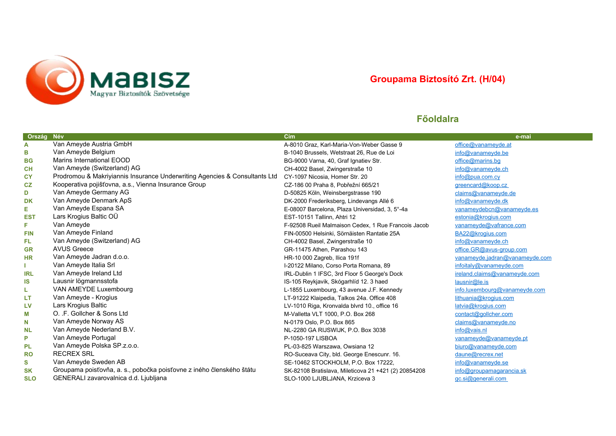<span id="page-5-0"></span>

# **Groupama Biztosító Zrt. (H/04)**

| Ország     | Név                                                                        | Cím                                                  | e-mai                          |
|------------|----------------------------------------------------------------------------|------------------------------------------------------|--------------------------------|
| A          | Van Ameyde Austria GmbH                                                    | A-8010 Graz, Karl-Maria-Von-Weber Gasse 9            | office@vanameyde.at            |
| в          | Van Ameyde Belgium                                                         | B-1040 Brussels, Wetstraat 26, Rue de Loi            | $info@$ vanameyde.be           |
| <b>BG</b>  | Marins International EOOD                                                  | BG-9000 Varna, 40, Graf Ignatiev Str.                | office@marins.bq               |
| <b>CH</b>  | Van Ameyde (Switzerland) AG                                                | CH-4002 Basel, Zwingerstraße 10                      | info@vanameyde.ch              |
| <b>CY</b>  | Prodromou & Makriyiannis Insurance Underwriting Agencies & Consultants Ltd | CY-1097 Nicosia, Homer Str. 20                       | info@pua.com.cy                |
| CZ         | Kooperativa pojišťovna, a.s., Vienna Insurance Group                       | CZ-186 00 Praha 8, Pobřežní 665/21                   | greencard@koop.cz              |
| D          | Van Ameyde Germany AG                                                      | D-50825 Köln, Weinsbergstrasse 190                   | claims@vanameyde.de            |
| <b>DK</b>  | Van Ameyde Denmark ApS                                                     | DK-2000 Frederiksberg, Lindevangs Allé 6             | info@vanameyde.dk              |
| Е          | Van Ameyde Espana SA                                                       | E-08007 Barcelona, Plaza Universidad, 3, 5°-4a       | vanameydebcn@vanameyde.es      |
| <b>EST</b> | Lars Krogius Baltic OÜ                                                     | EST-10151 Tallinn, Ahtri 12                          | estonia@krogius.com            |
| F          | Van Ameyde                                                                 | F-92508 Rueil Malmaison Cedex, 1 Rue Francois Jacob  | vanameyde@vafrance.com         |
| <b>FIN</b> | Van Ameyde Finland                                                         | FIN-00500 Helsinki, Sörnäisten Rantatie 25A          | BA22@krogius.com               |
| FL         | Van Ameyde (Switzerland) AG                                                | CH-4002 Basel, Zwingerstraße 10                      | info@vanameyde.ch              |
| <b>GR</b>  | <b>AVUS Greece</b>                                                         | GR-11475 Athen, Parashou 143                         | office.GR@avus-group.com       |
| <b>HR</b>  | Van Ameyde Jadran d.o.o.                                                   | HR-10 000 Zagreb, Ilica 191f                         | vanameyde.jadran@vanameyde.com |
|            | Van Ameyde Italia Srl                                                      | I-20122 Milano, Corso Porta Romana, 89               | infoitaly@vanameyde.com        |
| <b>IRL</b> | Van Ameyde Ireland Ltd                                                     | IRL-Dublin 1 IFSC, 3rd Floor 5 George's Dock         | ireland.claims@vanameyde.com   |
| IS         | Lausnir lögmannsstofa                                                      | IS-105 Reykjavik, Skógarhlíd 12. 3 haed              | laur@le.is                     |
| L.         | VAN AMEYDE Luxembourg                                                      | L-1855 Luxembourg, 43 avenue J.F. Kennedy            | info.luxembourg@vanameyde.com  |
| LT         | Van Ameyde - Krogius                                                       | LT-91222 Klaipedia, Talkos 24a. Office 408           | lithuania@krogius.com          |
| LV         | Lars Krogius Baltic                                                        | LV-1010 Riga, Kronvalda blvrd 10., office 16         | latvia@krogius.com             |
| M          | O. .F. Gollcher & Sons Ltd                                                 | M-Valletta VLT 1000, P.O. Box 268                    | contact@gollcher.com           |
| N          | Van Ameyde Norway AS                                                       | N-0179 Oslo, P.O. Box 865                            | claims@vanameyde.no            |
| <b>NL</b>  | Van Ameyde Nederland B.V.                                                  | NL-2280 GA RIJSWIJK, P.O. Box 3038                   | info@vais.nl                   |
| P          | Van Ameyde Portugal                                                        | P-1050-197 LISBOA                                    | vanameyde@vanameyde.pt         |
| PL         | Van Ameyde Polska SP.z.o.o.                                                | PL-03-825 Warszawa, Owsiana 12                       | biuro@vanameyde.com            |
| <b>RO</b>  | <b>RECREX SRL</b>                                                          | RO-Suceava City, bld. George Enescunr. 16.           | daune@recrex.net               |
| S          | Van Ameyde Sweden AB                                                       | SE-10462 STOCKHOLM, P.O. Box 17222,                  | info@vanameyde.se              |
| <b>SK</b>  | Groupama poisťovňa, a. s., pobočka poisťovne z iného členského štátu       | SK-82108 Bratislava, Mileticova 21 +421 (2) 20854208 | info@groupamagarancia.sk       |
| <b>SLO</b> | GENERALI zavarovalnica d.d. Ljubljana                                      | SLO-1000 LJUBLJANA, Krziceva 3                       | gc.si@generali.com             |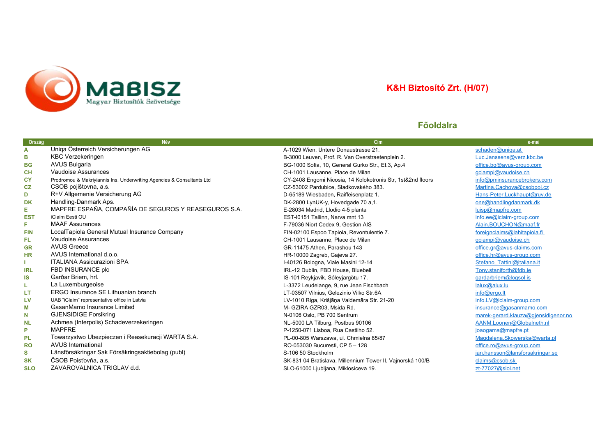<span id="page-6-0"></span>

# **K&H Biztosító Zrt. (H/07)**

| <b>Ország</b> | Név                                                                   | Cím                                                         | e-mai                                |
|---------------|-----------------------------------------------------------------------|-------------------------------------------------------------|--------------------------------------|
| A             | Uniga Österreich Versicherungen AG                                    | A-1029 Wien, Untere Donaustrasse 21.                        | schaden@uniga.at                     |
| в             | <b>KBC Verzekeringen</b>                                              | B-3000 Leuven, Prof. R. Van Overstraetenplein 2.            | Luc.Janssens@verz.kbc.be             |
| <b>BG</b>     | <b>AVUS Bulgaria</b>                                                  | BG-1000 Sofia, 10, General Gurko Str., Et.3, Ap.4           | office.bg@avus-group.com             |
| <b>CH</b>     | Vaudoise Assurances                                                   | CH-1001 Lausanne. Place de Milan                            | gciampi@vaudoise.ch                  |
| <b>CY</b>     | Prodromou & Makriyiannis Ins. Underwriting Agencies & Consultants Ltd | CY-2408 Engomi Nicosia, 14 Kolokotronis Str, 1st&2nd floors | info@pminsurancebrokers.com          |
| CZ            | CSOB pojištovna, a.s.                                                 | CZ-53002 Pardubice, Sladkovského 383.                       | Martina.Cachova@csobpoj.cz           |
| D             | R+V Allgemenie Versicherung AG                                        | D-65189 Wiesbaden, Raiffeisenplatz 1.                       | Hans-Peter.Luckhaupt@ruv.de          |
| <b>DK</b>     | Handling-Danmark Aps.                                                 | DK-2800 LynUK-y, Hovedgade 70 a,1.                          | one@handlingdanmark.dk               |
| Е             | MAPFRE ESPAÑA, COMPAÑÍA DE SEGUROS Y REASEGUROS S.A.                  | E-28034 Madrid, Llodio 4-5 planta                           | luisp@mapfre.com                     |
| <b>EST</b>    | iClaim Eesti OU                                                       | EST-I0151 Tallinn, Narva mnt 13                             | info.ee@iclaim-group.com             |
| F.            | <b>MAAF Assurances</b>                                                | F-79036 Niort Cedex 9, Gestion AIS                          | Alain.BOUCHON@maaf.fr                |
| <b>FIN</b>    | LocalTapiola General Mutual Insurance Company                         | FIN-02100 Espoo Tapiola, Revontulentie 7.                   | foreignclaims@lahitapiola.fi         |
| FL.           | Vaudoise Assurances                                                   | CH-1001 Lausanne, Place de Milan                            | gciampi@vaudoise.ch                  |
| <b>GR</b>     | <b>AVUS Greece</b>                                                    | GR-11475 Athen, Parashou 143                                | office.gr@avus-claims.com            |
| <b>HR</b>     | AVUS International d.o.o.                                             | HR-10000 Zagreb, Gajeva 27.                                 | office.hr@avus-group.com             |
|               | <b>ITALIANA Assicurazioni SPA</b>                                     | I-40126 Bologna, Viale Masini 12-14                         | Stefano Tattini@italiana.it          |
| <b>IRL</b>    | FBD INSURANCE plc                                                     | IRL-12 Dublin, FBD House, Bluebell                          | Tony.staniforth@fdb.ie               |
| IS            | Garðar Briem, hrl.                                                    | IS-101 Reykjavik, Sóleyjargötu 17.                          | gardarbriem@logsol.is                |
| L             | La Luxemburgeoise                                                     | L-3372 Leudelange, 9, rue Jean Fischbach                    | $l$ alux@alux.lu                     |
| LT            | ERGO Insurance SE Lithuanian branch                                   | LT-03507 Vilnius, Gelezinio Vilko Str.6A                    | info@ergo.lt                         |
| LV            | UAB "iClaim" representative office in Latvia                          | LV-1010 Riga, Krišjāņa Valdemāra Str. 21-20                 | info.LV@iclaim-group.com             |
| M             | GasanMamo Insurance Limited                                           | M- GZIRA GZR03, Msida Rd.                                   | insurance@gasanmamo.com              |
| N             | <b>GJENSIDIGE Forsikring</b>                                          | N-0106 Oslo, PB 700 Sentrum                                 | marek-gerard.klauza@gjensidigenor.no |
| <b>NL</b>     | Achmea (Interpolis) Schadeverzekeringen                               | NL-5000 LA Tilburg, Postbus 90106                           | AANM.Loonen@Globalneth.nl            |
| P             | <b>MAPFRE</b>                                                         | P-1250-071 Lisboa, Rua Castilho 52.                         | joaogama@mapfre.pt                   |
| <b>PL</b>     | Towarzystwo Ubezpieczen i Reasekuracji WARTA S.A.                     | PL-00-805 Warszawa, ul. Chmielna 85/87                      | Magdalena.Skowerska@warta.pl         |
| <b>RO</b>     | <b>AVUS International</b>                                             | RO-053030 Bucuresti, CP 5 - 128                             | office.ro@avus-group.com             |
| S             | Länsförsäkringar Sak Försäkringsaktiebolag (publ)                     | S-106 50 Stockholm                                          | jan.hansson@lansforsakringar.se      |
| <b>SK</b>     | ČSOB Poisťovňa, a.s.                                                  | SK-831 04 Bratislava, Millennium Tower II, Vajnorská 100/B  | claims@csob.sk                       |
| <b>SLO</b>    | ZAVAROVALNICA TRIGLAV d.d.                                            | SLO-61000 Ljubljana, Miklosiceva 19.                        | zt-77027@siol.net                    |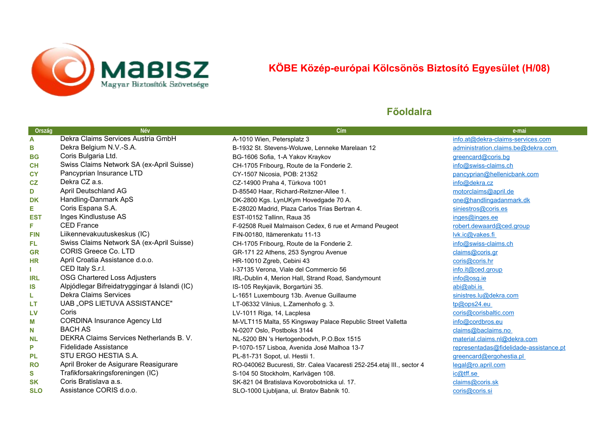<span id="page-7-0"></span>

# **KÖBE Közép-európai Kölcsönös Biztosító Egyesület (H/08)**

| Ország     | <b>Név</b>                                    | Cím                                                                   | e-mai                                  |
|------------|-----------------------------------------------|-----------------------------------------------------------------------|----------------------------------------|
| A          | Dekra Claims Services Austria GmbH            | A-1010 Wien, Petersplatz 3                                            | info.at@dekra-claims-services.com      |
| в          | Dekra Belgium N.V.-S.A.                       | B-1932 St. Stevens-Woluwe, Lenneke Marelaan 12                        | administration.claims.be@dekra.com     |
| <b>BG</b>  | Coris Bulgaria Ltd.                           | BG-1606 Sofia, 1-A Yakov Kraykov                                      | greencard@coris.bg                     |
| <b>CH</b>  | Swiss Claims Network SA (ex-April Suisse)     | CH-1705 Fribourg, Route de la Fonderie 2.                             | info@swiss-claims.ch                   |
| <b>CY</b>  | Pancyprian Insurance LTD                      | CY-1507 Nicosia, POB: 21352                                           | pancyprian@hellenicbank.com            |
| CZ         | Dekra CZ a.s.                                 | CZ-14900 Praha 4, Türkova 1001                                        | info@dekra.cz                          |
| D          | April Deutschland AG                          | D-85540 Haar, Richard-Reitzner-Allee 1.                               | motorclaims@april.de                   |
| DK         | Handling-Danmark ApS                          | DK-2800 Kgs. LynUKym Hovedgade 70 A.                                  | one@handlingadanmark.dk                |
| Е          | Coris Espana S.A.                             | E-28020 Madrid, Plaza Carlos Trias Bertran 4.                         | siniestros@coris.es                    |
| <b>EST</b> | Inges Kindlustuse AS                          | EST-I0152 Tallinn, Raua 35                                            | inges@inges.ee                         |
| F          | <b>CED France</b>                             | F-92508 Rueil Malmaison Cedex, 6 rue et Armand Peugeot                | robert.dewaard@ced.group               |
| <b>FIN</b> | Liikennevakuutuskeskus (IC)                   | FIN-00180, Itämerenkatu 11-13                                         | lvk.i c@vakes.fi                       |
| FL.        | Swiss Claims Network SA (ex-April Suisse)     | CH-1705 Fribourg, Route de la Fonderie 2.                             | info@swiss-claims.ch                   |
| <b>GR</b>  | <b>CORIS Greece Co. LTD</b>                   | GR-171 22 Athens, 253 Syngrou Avenue                                  | claims@coris.gr                        |
| <b>HR</b>  | April Croatia Assistance d.o.o.               | HR-10010 Zgreb, Cebini 43                                             | coris@coris.hr                         |
|            | CED Italy S.r.l.                              | I-37135 Verona, Viale del Commercio 56                                | info.it@ced.group                      |
| <b>IRL</b> | OSG Chartered Loss Adjusters                  | IRL-Dublin 4, Merion Hall, Strand Road, Sandymount                    | info@osg.ie                            |
| IS         | Alpjódlegar Bifreidatryggingar á Islandi (IC) | IS-105 Reykjavik, Borgartúni 35.                                      | abi@abi.is                             |
| L          | Dekra Claims Services                         | L-1651 Luxembourg 13b. Avenue Guillaume                               | sinistres.lu@dekra.com                 |
| LT         | UAB "OPS LIETUVA ASSISTANCE"                  | LT-06332 Vilnius, L.Zamenhofo g. 3.                                   | tp@ops24.eu                            |
| LV         | Coris                                         | LV-1011 Riga, 14, Lacplesa                                            | coris@corisbaltic.com                  |
| M          | <b>CORDINA Insurance Agency Ltd</b>           | M-VLT115 Malta, 55 Kingsway Palace Republic Street Valletta           | info@cordbros.eu                       |
| N          | <b>BACH AS</b>                                | N-0207 Oslo, Postboks 3144                                            | claims@baclaims.no                     |
| <b>NL</b>  | DEKRA Claims Services Netherlands B.V.        | NL-5200 BN 's Hertogenbodvh, P.O.Box 1515                             | material.claims.nl@dekra.com           |
| P          | Fidelidade Assistance                         | P-1070-157 Lisboa, Avenida José Malhoa 13-7                           | representadas@fidelidade-assistance.pt |
| <b>PL</b>  | STU ERGO HESTIA S.A.                          | PL-81-731 Sopot, ul. Hestii 1.                                        | greencard@ergohestia.pl                |
| <b>RO</b>  | April Broker de Asigurare Reasigurare         | RO-040062 Bucuresti, Str. Calea Vacaresti 252-254.etaj III., sector 4 | legal@ro.april.com                     |
| S          | Trafikforsakringsforeningen (IC)              | S-104 50 Stockholm, Karlvägen 108.                                    | ic@tff.se                              |
| <b>SK</b>  | Coris Bratislava a.s.                         | SK-821 04 Bratislava Kovorobotnicka ul. 17.                           | claims@coris.sk                        |
| <b>SLO</b> | Assistance CORIS d.o.o.                       | SLO-1000 Ljubljana, ul. Bratov Babnik 10.                             | coris@coris.si                         |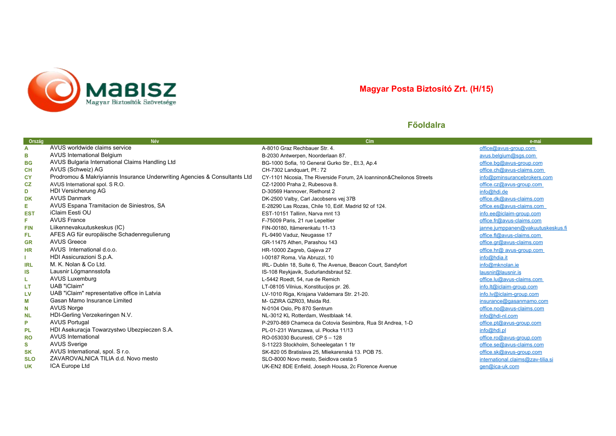<span id="page-8-0"></span>

### **Magyar Posta Biztosító Zrt. (H/15)**

| Ország     | Név                                                                        | Cím                                                                  | e-mai                             |
|------------|----------------------------------------------------------------------------|----------------------------------------------------------------------|-----------------------------------|
| A          | AVUS worldwide claims service                                              | A-8010 Graz Rechbauer Str. 4.                                        | office@avus-group.com             |
| в          | <b>AVUS International Belgium</b>                                          | B-2030 Antwerpen, Noorderlaan 87.                                    | avus.belgium@sgs.com              |
| <b>BG</b>  | AVUS Bulgaria International Claims Handling Ltd                            | BG-1000 Sofia, 10 General Gurko Str., Et.3, Ap.4                     | office.bq@avus-group.com          |
| <b>CH</b>  | AVUS (Schweiz) AG                                                          | CH-7302 Landquart, Pf.: 72                                           | office.ch@avus-claims.com         |
| <b>CY</b>  | Prodromou & Makriyiannis Insurance Underwriting Agencies & Consultants Ltd | CY-1101 Nicosia, The Riverside Forum, 2A Ioanninon&Cheilonos Streets | info@pminsurancebrokers.com       |
| CZ         | AVUS International spol. S R.O.                                            | CZ-12000 Praha 2, Rubesova 8.                                        | office.cz@avus-group.com          |
| D          | HDI Versicherung AG                                                        | D-30569 Hannover, Riethorst 2                                        | info@hdi.de                       |
| DK         | <b>AVUS Danmark</b>                                                        | DK-2500 Valby, Carl Jacobsens vej 37B                                | office.dk@avus-claims.com         |
| Е          | AVUS Espana Tramitacion de Siniestros, SA                                  | E-28290 Las Rozas, Chile 10, Edif. Madrid 92 of 124.                 | office.es@avus-claims.com         |
| <b>EST</b> | iClaim Eesti OU                                                            | EST-10151 Tallinn. Narva mnt 13                                      | info.ee@iclaim-group.com          |
| F.         | <b>AVUS France</b>                                                         | F-75009 Paris, 21 rue Lepeltier                                      | office.fr@avus-claims.com         |
| <b>FIN</b> | Liikennevakuutuskeskus (IC)                                                | FIN-00180, Itämerenkatu 11-13                                        | janne.jumppanen@vakuutuskeskus.fi |
| FL         | AFES AG für europäische Schadenregulierung                                 | FL-9490 Vaduz, Neugasse 17                                           | office.fl@avus-claims.com         |
| <b>GR</b>  | <b>AVUS Greece</b>                                                         | GR-11475 Athen, Parashou 143                                         | office.gr@avus-claims.com         |
| <b>HR</b>  | AVUS International d.o.o.                                                  | HR-10000 Zagreb, Gajeva 27                                           | office.hr@ avus-group.com         |
|            | HDI Assicurazioni S.p.A.                                                   | I-00187 Roma, Via Abruzzi, 10                                        | info@hdia.it                      |
| <b>IRL</b> | M. K. Nolan & Co Ltd.                                                      | IRL- Dublin 18, Suite 6, The Avenue, Beacon Court, Sandyfort         | info@mknolan.ie                   |
| IS         | Lausnir Lögmannsstofa                                                      | IS-108 Reykjavik, Sudurlandsbraut 52.                                | lausnir@lausnir.is                |
| L          | <b>AVUS Luxemburg</b>                                                      | L-5442 Roedt, 54, rue de Remich                                      | office.lu@avus-claims.com         |
| LT         | UAB "iClaim"                                                               | LT-08105 Vilnius, Konstitucijos pr. 26.                              | info.lt@iclaim-group.com          |
| LV         | UAB "iClaim" representative office in Latvia                               | LV-1010 Riga, Krisjana Valdemara Str. 21-20.                         | info.lv@iclaim-group.com          |
| М          | Gasan Mamo Insurance Limited                                               | M- GZIRA GZR03, Msida Rd.                                            | insurance@gasanmamo.com           |
| N          | <b>AVUS Norge</b>                                                          | N-0104 Oslo, Pb 870 Sentrum                                          | office.no@avus-claims.com         |
| <b>NL</b>  | HDI-Gerling Verzekeringen N.V.                                             | NL-3012 KL Rotterdam, Westblaak 14.                                  | info@hdi-nl.com                   |
| P          | <b>AVUS Portugal</b>                                                       | P-2970-869 Chameca da Cotovia Sesimbra, Rua St Andrea, 1-D           | office.pt@avus-group.com          |
| PL         | HDI Asekuracja Towarzystwo Ubezpieczen S.A.                                | PL-01-231 Warszawa, ul. Płocka 11/13                                 | info@hdi.pl                       |
| <b>RO</b>  | <b>AVUS International</b>                                                  | RO-053030 Bucuresti, CP 5 - 128                                      | office.ro@avus-group.com          |
| s          | <b>AVUS Sverige</b>                                                        | S-11223 Stockholm, Scheelegatan 1 1tr                                | office.se@avus-claims.com         |
| <b>SK</b>  | AVUS International, spol. S r.o.                                           | SK-820 05 Bratislava 25. Mliekarenská 13. POB 75.                    | office.sk@avus-group.com          |
| <b>SLO</b> | ZAVAROVALNICA TILIA d.d. Novo mesto                                        | SLO-8000 Novo mesto, Seidlova cesta 5                                | international.claims@zav-tilia.si |
| <b>UK</b>  | ICA Europe Ltd                                                             | UK-EN2 8DE Enfield, Joseph Housa, 2c Florence Avenue                 | gen@ica-uk.com                    |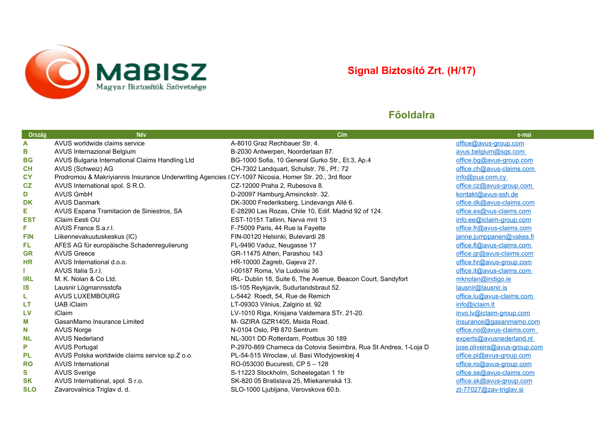<span id="page-9-0"></span>

# **Signal Biztosító Zrt. (H/17)**

| Ország     | Név                                                                                                  | Cím                                                             | e-mai                        |
|------------|------------------------------------------------------------------------------------------------------|-----------------------------------------------------------------|------------------------------|
| A          | AVUS worldwide claims service                                                                        | A-8010 Graz Rechbauer Str. 4.                                   | office@avus-group.com        |
| В          | AVUS Internazional Belgium                                                                           | B-2030 Antwerpen, Noorderlaan 87.                               | avus.belgium@sgs.com         |
| <b>BG</b>  | AVUS Bulgaria International Claims Handling Ltd                                                      | BG-1000 Sofia, 10 General Gurko Str., Et.3, Ap.4                | office.bg@avus-group.com     |
| CH         | AVUS (Schweiz) AG                                                                                    | CH-7302 Landquart, Schulstr. 76., Pf.: 72                       | office.ch@avus-claims.com    |
| <b>CY</b>  | Prodromou & Makriyiannis Insurance Underwriting Agencies {CY-1097 Nicosia, Homer Str. 20., 3rd floor |                                                                 | info@pua.com.cy              |
| CZ         | AVUS International spol. S R.O.                                                                      | CZ-12000 Praha 2, Rubesova 8.                                   | office.cz@avus-group.com     |
| D          | <b>AVUS GmbH</b>                                                                                     | D-20097 Hamburg, Amsinckstr. 32.                                | kontakt@avus-ssh.de          |
| <b>DK</b>  | <b>AVUS Danmark</b>                                                                                  | DK-3000 Frederiksberg, Lindevangs Allé 6.                       | office.dk@avus-claims.com    |
| Е          | AVUS Espana Tramitacion de Siniestros, SA                                                            | E-28290 Las Rozas, Chile 10, Edif. Madrid 92 of 124.            | office.es@vus-claims.com     |
| <b>EST</b> | iClaim Eesti OU                                                                                      | EST-10151 Tallinn, Narva mnt 13                                 | info.ee@iclaim-group.com     |
| F.         | AVUS France S.a.r.l.                                                                                 | F-75009 Paris, 44 Rue la Fayette                                | office.fr@avus-claims.com    |
| <b>FIN</b> | Liikennevakuutuskeskus (IC)                                                                          | FIN-00120 Helsinki, Bulevardi 28                                | janne.jumppanen@vakes.fi     |
| FL         | AFES AG für europäische Schadenregulierung                                                           | FL-9490 Vaduz, Neugasse 17                                      | office.fl@avus-claims.com    |
| <b>GR</b>  | <b>AVUS Greece</b>                                                                                   | GR-11475 Athen, Parashou 143                                    | office.gr@avus-claims.com    |
| <b>HR</b>  | AVUS International d.o.o.                                                                            | HR-10000 Zagreb, Gajeva 27.                                     | office.hr@avus-group.com     |
|            | AVUS Italia S.r.I.                                                                                   | I-00187 Roma, Via Ludovisi 36                                   | office.it@avus-claims.com    |
| <b>IRL</b> | M. K. Nolan & Co Ltd.                                                                                | IRL- Dublin 18, Suite 6, The Avenue, Beacon Court, Sandyfort    | mknolan@indigo.ie            |
| IS         | Lausnir Lögmannsstofa                                                                                | IS-105 Reykjavik, Sudurlandsbraut 52.                           | lausnir@lausnir.is           |
| L          | <b>AVUS LUXEMBOURG</b>                                                                               | L-5442 Roedt, 54, Rue de Remich                                 | office.lu@avus-claims.com    |
| LT         | <b>UAB iClaim</b>                                                                                    | LT-09303 Vilnius, Zalgirio st. 92                               | info@iclaim.lt               |
| <b>LV</b>  | <b>iClaim</b>                                                                                        | LV-1010 Riga, Krisjana Valdemara STr. 21-20.                    | invo.lv@iclaim-group.com     |
| М          | GasanMamo Insurance Limited                                                                          | M- GZIRA GZR1405, Msida Road.                                   | insurance@gasanmamo.com      |
| N          | <b>AVUS Norge</b>                                                                                    | N-0104 Oslo, PB 870 Sentrum                                     | office.no@avus-claims.com    |
| <b>NL</b>  | <b>AVUS Nederland</b>                                                                                | NL-3001 DD Rotterdam, Postbus 30 189                            | experts@avusnederland.nl     |
| P          | <b>AVUS Portugal</b>                                                                                 | P-2970-869 Chameca da Cotovia Sesimbra, Rua St Andrea, 1-Loja D | jose.oliveira@avus-group.com |
| PL         | AVUS Polska worldwide claims service sp.Z o.o.                                                       | PL-54-515 Wroclaw, ul. Basi Włodyjowskiej 4                     | office.pl@avus-group.com     |
| <b>RO</b>  | <b>AVUS International</b>                                                                            | RO-053030 Bucuresti, CP 5 - 128                                 | office.ro@avus-group.com     |
| S          | <b>AVUS Sverige</b>                                                                                  | S-11223 Stockholm, Scheelegatan 1 1tr                           | office.se@avus-claims.com    |
| <b>SK</b>  | AVUS International, spol. S r.o.                                                                     | SK-820 05 Bratislava 25, Mliekarenská 13.                       | office.sk@avus-group.com     |
| <b>SLO</b> | Zavarovalnica Triglav d. d.                                                                          | SLO-1000 Ljubljana, Verovskova 60.b.                            | zt-77027@zav-triglav.si      |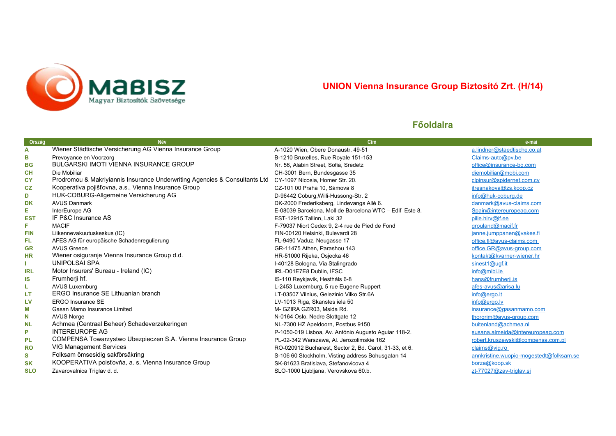<span id="page-10-0"></span>

# **UNION Vienna Insurance Group Biztosító Zrt. (H/14)**

| Ország     | <b>Név</b>                                                                 | Cím                                                     | e-mai                                   |
|------------|----------------------------------------------------------------------------|---------------------------------------------------------|-----------------------------------------|
| A          | Wiener Städtische Versicherung AG Vienna Insurance Group                   | A-1020 Wien, Obere Donaustr. 49-51                      | a.lindner@staedtische.co.at             |
| в          | Prevoyance en Voorzorg                                                     | B-1210 Bruxelles, Rue Royale 151-153                    | Claims-auto@pv.be                       |
| <b>BG</b>  | <b>BULGARSKI IMOTI VIENNA INSURANCE GROUP</b>                              | Nr. 56, Alabin Street, Sofia, Sredetz                   | office@insurance-bg.com                 |
| <b>CH</b>  | Die Mobiliar                                                               | CH-3001 Bern, Bundesgasse 35                            | diemobiliar@mobi.com                    |
| <b>CY</b>  | Prodromou & Makriyiannis Insurance Underwriting Agencies & Consultants Ltd | CY-1097 Nicosia, Homer Str. 20.                         | clpinsur@spidernet.com.cv               |
| CZ         | Kooperativa pojišťovna, a.s., Vienna Insurance Group                       | CZ-101 00 Praha 10. Sámova 8                            | itresnakova@zs.koop.cz                  |
| D          | HUK-COBURG-Allgemeine Versicherung AG                                      | D-96442 Coburg, Willi-Hussong-Str. 2                    | info@huk-coburg.de                      |
| <b>DK</b>  | <b>AVUS Danmark</b>                                                        | DK-2000 Frederiksberg, Lindevangs Allé 6.               | danmark@avus-claims.com                 |
| Е.         | InterEurope AG                                                             | E-08039 Barcelona, Moll de Barcelona WTC - Edif Este 8. | Spain@intereuropeag.com                 |
| <b>EST</b> | IF P&C Insurance AS                                                        | EST-12915 Tallinn, Laki 32                              | pille.hirv@if.ee                        |
| F.         | <b>MACIF</b>                                                               | F-79037 Niort Cedex 9, 2-4 rue de Pied de Fond          | grouland@macif.fr                       |
| <b>FIN</b> | Liikennevakuutuskeskus (IC)                                                | FIN-00120 Helsinki, Bulevardi 28                        | janne.jumppanen@vakes.fi                |
| FL.        | AFES AG für europäische Schadenregulierung                                 | FL-9490 Vaduz, Neugasse 17                              | office.fl@avus-claims.com               |
| <b>GR</b>  | <b>AVUS Greece</b>                                                         | GR-11475 Athen, Parashou 143                            | office.GR@avus-group.com                |
| <b>HR</b>  | Wiener osiguranje Vienna Insurance Group d.d.                              | HR-51000 Rijeka, Osjecka 46                             | kontakt@kvarner-wiener.hr               |
|            | UNIPOLSAI SPA                                                              | I-40128 Bologna, Via Stalingrado                        | sinest1@ugf.it                          |
| <b>IRL</b> | Motor Insurers' Bureau - Ireland (IC)                                      | IRL-D01E7E8 Dublin, IFSC                                | info@mibi.ie                            |
| IS         | Frumherji hf.                                                              | IS-110 Reykjavik, Hestháls 6-8                          | hans@frumherji.is                       |
| L          | <b>AVUS Luxemburg</b>                                                      | L-2453 Luxemburg, 5 rue Eugene Ruppert                  | afes-avus@arisa.lu                      |
| LT         | ERGO Insurance SE Lithuanian branch                                        | LT-03507 Vilnius, Gelezinio Vilko Str.6A                | info@ergo.lt                            |
| LV         | <b>ERGO Insurance SE</b>                                                   | LV-1013 Riga, Skanstes iela 50                          | info@ergo.lv                            |
| M          | Gasan Mamo Insurance Limited                                               | M- GZIRA GZR03, Msida Rd.                               | insurance@gasanmamo.com                 |
| N          | <b>AVUS Norge</b>                                                          | N-0164 Oslo, Nedre Slottgate 12                         | thorgrim@avus-group.com                 |
| <b>NL</b>  | Achmea (Centraal Beheer) Schadeverzekeringen                               | NL-7300 HZ Apeldoorn, Postbus 9150                      | buitenland@achmea.nl                    |
| P          | <b>INTEREUROPE AG</b>                                                      | P-1050-019 Lisboa, Av. António Augusto Aguiar 118-2.    | susana.almeida@intereuropeag.com        |
| <b>PL</b>  | COMPENSA Towarzystwo Ubezpieczen S.A. Vienna Insurance Group               | PL-02-342 Warszawa, Al. Jerozolimskie 162               | robert.kruszewski@compensa.com.pl       |
| <b>RO</b>  | <b>VIG Management Services</b>                                             | RO-020912 Bucharest, Sector 2, Bd. Carol, 31-33, et 6.  | claims@vig.ro                           |
| s          | Folksam ömsesidig sakförsäkring                                            | S-106 60 Stockholm, Visting address Bohusgatan 14       | annkristine.wuopio-mogestedt@folksam.se |
| <b>SK</b>  | KOOPERATIVA poisťovňa, a. s. Vienna Insurance Group                        | SK-81623 Bratislava, Stefanovicova 4                    | borza@koop.sk                           |
| <b>SLO</b> | Zavarovalnica Triglav d. d.                                                | SLO-1000 Ljubljana, Verovskova 60.b.                    | zt-77027@zav-triglav.si                 |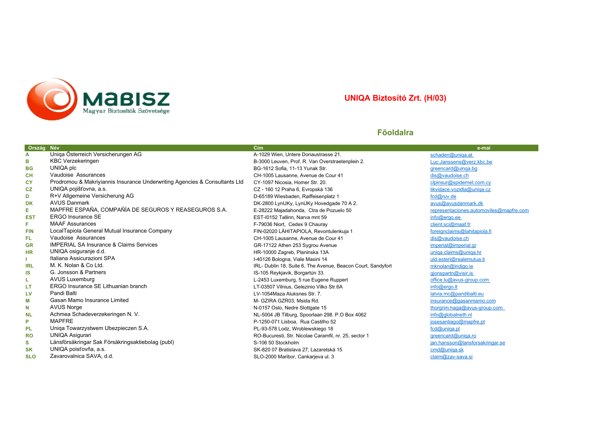<span id="page-11-0"></span>

### **UNIQA Biztosító Zrt. (H/03)**

| Ország     | Név<br>Uniqa Österreich Versicherungen AG                                  | Cím<br>A-1029 Wien, Untere Donaustrasse 21.                  | e-mai                                   |
|------------|----------------------------------------------------------------------------|--------------------------------------------------------------|-----------------------------------------|
| A          | <b>KBC Verzekeringen</b>                                                   |                                                              | schaden@uniqa.at                        |
| в          |                                                                            | B-3000 Leuven, Prof. R. Van Overstraetenplein 2.             | Luc.Janssens@verz.kbc.be                |
| <b>BG</b>  | UNIQA plc                                                                  | BG-1612 Sofia, 11-13 Yunak Str.                              | greencard@uinga.bg                      |
| <b>CH</b>  | Vaudoise Assurances                                                        | CH-1005 Lausanne, Avenue de Cour 41                          | dis@vaudoise.ch                         |
| <b>CY</b>  | Prodromou & Makriyiannis Insurance Underwriting Agencies & Consultants Ltd | CY-1097 Nicosia, Homer Str. 20.                              | clpinsur@spidernet.com.cv               |
| CZ         | UNIQA pojišťovna, a.s.                                                     | CZ - 160 12 Praha 6, Evropská 136                            | likvidace.vozidla@uniqa.cz              |
| D          | R+V Allgemeine Versicherung AG                                             | D-65189 Wiesbaden, Raiffeisenplatz 1                         | fcd@ruv.de                              |
| <b>DK</b>  | <b>AVUS Danmark</b>                                                        | DK-2800 LynUKy, LynUKy Hovedgade 70 A 2.                     | avus@avusdanmark.dk                     |
| Е          | MAPFRE ESPAÑA, COMPAÑÍA DE SEGUROS Y REASEGUROS S.A.                       | E-28222 Majadahonda, Ctra de Pozuelo 50                      | representaciones.automoviles@mapfre.com |
| <b>EST</b> | ERGO Insurance SE                                                          | EST-I0152 Tallinn, Narva mnt 59                              | info@ergo.ee                            |
| F.         | <b>MAAF Assurances</b>                                                     | F-79036 Niort, Cedex 9 Chauray                               | client.sci@maaf.fr                      |
| <b>FIN</b> | LocalTapiola General Mutual Insurance Company                              | FIN-02020 LÄHITAPIOLA, Revontulenkuja 1                      | foreignclaims@lahitapiola.fi            |
| FL.        | Vaudoise Assurances                                                        | CH-1005 Lausanne. Avenue de Cour 41                          | dis@vaudoise.ch                         |
| <b>GR</b>  | <b>IMPERIAL SA Insurance &amp; Claims Services</b>                         | GR-17122 Athen 253 Sygrou Avenue                             | imperial@imperial.gr                    |
| <b>HR</b>  | UNIQA osiguranje d.d.                                                      | HR-10000 Zagreb, Planinska 13A                               | uniga.claims@uniga.hr                   |
|            | Italiana Assicurazioni SPA                                                 | I-40126 Bologna, Viale Masini 14                             | uld.esteri@realemutua.it                |
| <b>IRL</b> | M. K. Nolan & Co Ltd.                                                      | IRL- Dublin 18, Suite 6, The Avenue, Beacon Court, Sandyfort | mknolan@indigo.ie                       |
| <b>IS</b>  | G. Jonsson & Partners                                                      | IS-105 Reykjavik, Borgartún 33.                              | gjonspartn@visir.is                     |
| L          | <b>AVUS Luxemburg</b>                                                      | L-2453 Luxemburg, 5 rue Eugene Ruppert                       | office.lu@avus-group.com                |
| LT         | ERGO Insurance SE Lithuanian branch                                        | LT-03507 Vilnius, Gelezinio Vilko Str.6A                     | info@ergo.lt                            |
| LV         | Pandi Balti                                                                | LV-1054Maza Aluksnes Str. 7.                                 | latvia.mc@pandibalti.eu                 |
| М          | Gasan Mamo Insurance Limited                                               | M- GZIRA GZR03, Msida Rd.                                    | insurance@gasanmamo.com                 |
| N          | <b>AVUS Norge</b>                                                          | N-0157 Oslo, Nedre Slottgate 15                              | thorgrim.haga@avus-group.com            |
| <b>NL</b>  | Achmea Schadeverzekeringen N. V.                                           | NL-5004 JB Tilburg, Spoorlaan 298. P.O Box 4062              | info@globalneth.nl                      |
| P          | <b>MAPFRE</b>                                                              | P-1250-071 Lisboa, Rua Castilho 52                           | josesantiago@mapfre.pt                  |
| <b>PL</b>  | Uniga Towarzystwem Ubezpieczen S.A.                                        | PL-93-578 Lodz, Wroblewskiego 18                             | fcd@uniqa.pl                            |
| <b>RO</b>  | <b>UNIQA Asigurari</b>                                                     | RO-Bucuresti, Str. Nicolae Caramfil, nr. 25, sector 1        | greencard@uniga.ro                      |
| s          | Länsförsäkringar Sak Försäkringsaktiebolag (publ)                          | S-106 50 Stockholm                                           | jan.hansson@lansforsakringar.se         |
| <b>SK</b>  | UNIQA poisťovňa, a.s.                                                      | SK-820 07 Bratislava 27, Lazaretská 15                       | cmd@uniqa.sk                            |
| <b>SLO</b> | Zavarovalnica SAVA, d.d.                                                   | SLO-2000 Maribor, Cankarjeva ul. 3                           | claim@zav-sava.si                       |